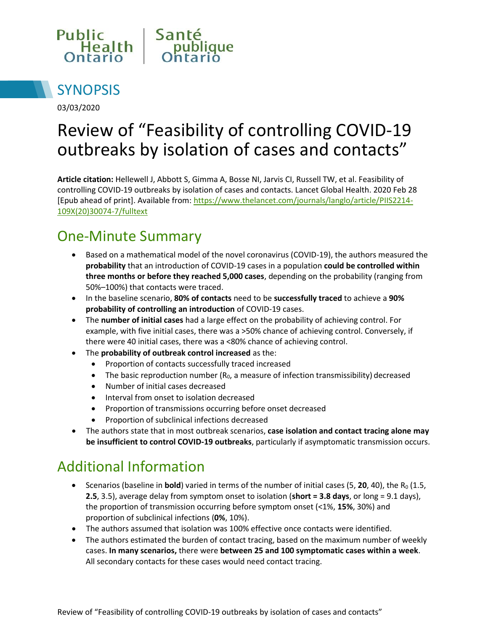



03/03/2020

# Review of "Feasibility of controlling COVID-19 outbreaks by isolation of cases and contacts"

**Article citation:** Hellewell J, Abbott S, Gimma A, Bosse NI, Jarvis CI, Russell TW, et al. Feasibility of controlling COVID-19 outbreaks by isolation of cases and contacts. Lancet Global Health. 2020 Feb 28 [Epub ahead of print]. Available from: [https://www.thelancet.com/journals/langlo/article/PIIS2214-](https://www.thelancet.com/journals/langlo/article/PIIS2214-109X(20)30074-7/fulltext) [109X\(20\)30074-7/fulltext](https://www.thelancet.com/journals/langlo/article/PIIS2214-109X(20)30074-7/fulltext)

## One-Minute Summary

- Based on a mathematical model of the novel coronavirus (COVID-19), the authors measured the **probability** that an introduction of COVID-19 cases in a population **could be controlled within three months or before they reached 5,000 cases**, depending on the probability (ranging from 50%–100%) that contacts were traced.
- In the baseline scenario, **80% of contacts** need to be **successfully traced** to achieve a **90% probability of controlling an introduction** of COVID-19 cases.
- The **number of initial cases** had a large effect on the probability of achieving control. For example, with five initial cases, there was a >50% chance of achieving control. Conversely, if there were 40 initial cases, there was a <80% chance of achieving control.
- The **probability of outbreak control increased** as the:
	- Proportion of contacts successfully traced increased
	- The basic reproduction number  $(R_0, a$  measure of infection transmissibility) decreased
	- Number of initial cases decreased
	- Interval from onset to isolation decreased
	- Proportion of transmissions occurring before onset decreased
	- Proportion of subclinical infections decreased
- The authors state that in most outbreak scenarios, **case isolation and contact tracing alone may be insufficient to control COVID-19 outbreaks**, particularly if asymptomatic transmission occurs.

#### Additional Information

- Scenarios (baseline in **bold**) varied in terms of the number of initial cases (5, 20, 40), the  $R_0$  (1.5, **2.5**, 3.5), average delay from symptom onset to isolation (**short = 3.8 days**, or long = 9.1 days), the proportion of transmission occurring before symptom onset (<1%, **15%**, 30%) and proportion of subclinical infections (**0%**, 10%).
- The authors assumed that isolation was 100% effective once contacts were identified.
- The authors estimated the burden of contact tracing, based on the maximum number of weekly cases. **In many scenarios,** there were **between 25 and 100 symptomatic cases within a week**. All secondary contacts for these cases would need contact tracing.